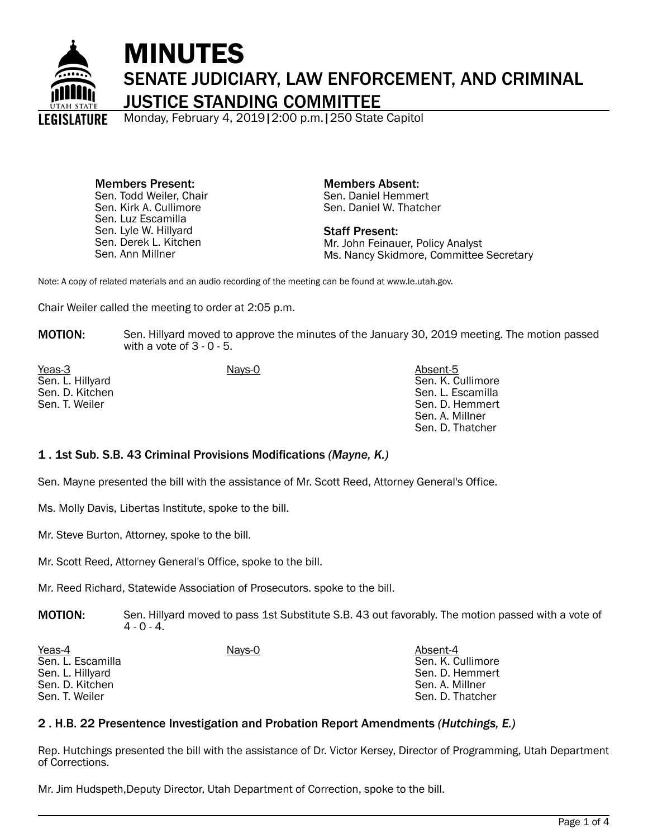

# MINUTES SENATE JUDICIARY, LAW ENFORCEMENT, AND CRIMINAL JUSTICE STANDING COMMITTEE

Monday, February 4, 2019|2:00 p.m.|250 State Capitol

Members Present: Sen. Todd Weiler, Chair Sen. Kirk A. Cullimore Sen. Luz Escamilla Sen. Lyle W. Hillyard Sen. Derek L. Kitchen Sen. Ann Millner

Members Absent: Sen. Daniel Hemmert Sen. Daniel W. Thatcher

Staff Present: Mr. John Feinauer, Policy Analyst Ms. Nancy Skidmore, Committee Secretary

Note: A copy of related materials and an audio recording of the meeting can be found at www.le.utah.gov.

Chair Weiler called the meeting to order at 2:05 p.m.

**MOTION:** Sen. Hillyard moved to approve the minutes of the January 30, 2019 meeting. The motion passed with a vote of  $3 - 0 - 5$ .

Yeas-3 Nays-0 Nays-0 Nays-0 Absent-5 Sen. L. Hillyard Sen. D. Kitchen Sen. T. Weiler

Sen. K. Cullimore Sen. L. Escamilla Sen. D. Hemmert Sen. A. Millner Sen. D. Thatcher

## 1 . 1st Sub. S.B. 43 Criminal Provisions Modifications *(Mayne, K.)*

Sen. Mayne presented the bill with the assistance of Mr. Scott Reed, Attorney General's Office.

Ms. Molly Davis, Libertas Institute, spoke to the bill.

Mr. Steve Burton, Attorney, spoke to the bill.

Mr. Scott Reed, Attorney General's Office, spoke to the bill.

Mr. Reed Richard, Statewide Association of Prosecutors. spoke to the bill.

**MOTION:** Sen. Hillyard moved to pass 1st Substitute S.B. 43 out favorably. The motion passed with a vote of  $4 - 0 - 4$ .

| Yeas-4<br>Sen. L. Escamilla<br>Sen. L. Hillyard<br>Sen. D. Kitchen | Nays-0 | Absent-4<br>Sen. K. Cullimore<br>Sen. D. Hemmert<br>Sen. A. Millner |
|--------------------------------------------------------------------|--------|---------------------------------------------------------------------|
| Sen. T. Weiler                                                     |        | Sen. D. Thatcher                                                    |

## 2 . H.B. 22 Presentence Investigation and Probation Report Amendments *(Hutchings, E.)*

Rep. Hutchings presented the bill with the assistance of Dr. Victor Kersey, Director of Programming, Utah Department of Corrections.

Mr. Jim Hudspeth,Deputy Director, Utah Department of Correction, spoke to the bill.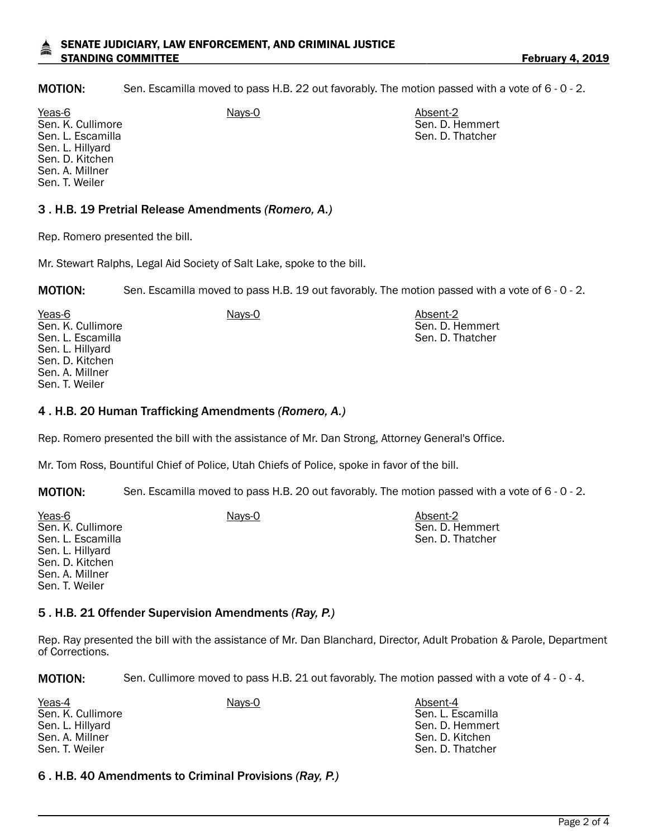#### SENATE JUDICIARY, LAW ENFORCEMENT, AND CRIMINAL JUSTICE STANDING COMMITTEE **February 4, 2019**

MOTION: Sen. Escamilla moved to pass H.B. 22 out favorably. The motion passed with a vote of 6 - 0 - 2.

Yeas-6 **Nays-0** Absent-2 Sen. K. Cullimore Sen. L. Escamilla Sen. L. Hillyard Sen. D. Kitchen Sen. A. Millner Sen. T. Weiler

## 3 . H.B. 19 Pretrial Release Amendments *(Romero, A.)*

Rep. Romero presented the bill.

Mr. Stewart Ralphs, Legal Aid Society of Salt Lake, spoke to the bill.

MOTION: Sen. Escamilla moved to pass H.B. 19 out favorably. The motion passed with a vote of 6 - 0 - 2.

Yeas-6 **Nays-0** Absent-2 Sen. K. Cullimore Sen. L. Escamilla Sen. L. Hillyard Sen. D. Kitchen Sen. A. Millner Sen. T. Weiler

### 4 . H.B. 20 Human Trafficking Amendments *(Romero, A.)*

Rep. Romero presented the bill with the assistance of Mr. Dan Strong, Attorney General's Office.

Mr. Tom Ross, Bountiful Chief of Police, Utah Chiefs of Police, spoke in favor of the bill.

MOTION: Sen. Escamilla moved to pass H.B. 20 out favorably. The motion passed with a vote of 6 - 0 - 2.

| Yeas-6            | Nays-0 | Absent-2         |
|-------------------|--------|------------------|
| Sen. K. Cullimore |        | Sen. D. Hemmert  |
| Sen. L. Escamilla |        | Sen. D. Thatcher |
| Sen. L. Hillyard  |        |                  |
| Sen. D. Kitchen   |        |                  |
| Sen. A. Millner   |        |                  |
| Sen. T. Weiler    |        |                  |

### 5 . H.B. 21 Offender Supervision Amendments *(Ray, P.)*

Rep. Ray presented the bill with the assistance of Mr. Dan Blanchard, Director, Adult Probation & Parole, Department of Corrections.

MOTION: Sen. Cullimore moved to pass H.B. 21 out favorably. The motion passed with a vote of 4 - 0 - 4.

| Yeas-4            | <u>Nays-0</u> | Absent-4          |
|-------------------|---------------|-------------------|
| Sen. K. Cullimore |               | Sen. L. Escamilla |
| Sen. L. Hillyard  |               | Sen. D. Hemmert   |
| Sen. A. Millner   |               | Sen. D. Kitchen   |
| Sen. T. Weiler    |               | Sen. D. Thatcher  |

### 6 . H.B. 40 Amendments to Criminal Provisions *(Ray, P.)*

Sen. D. Hemmert Sen. D. Thatcher

Sen. D. Hemmert Sen. D. Thatcher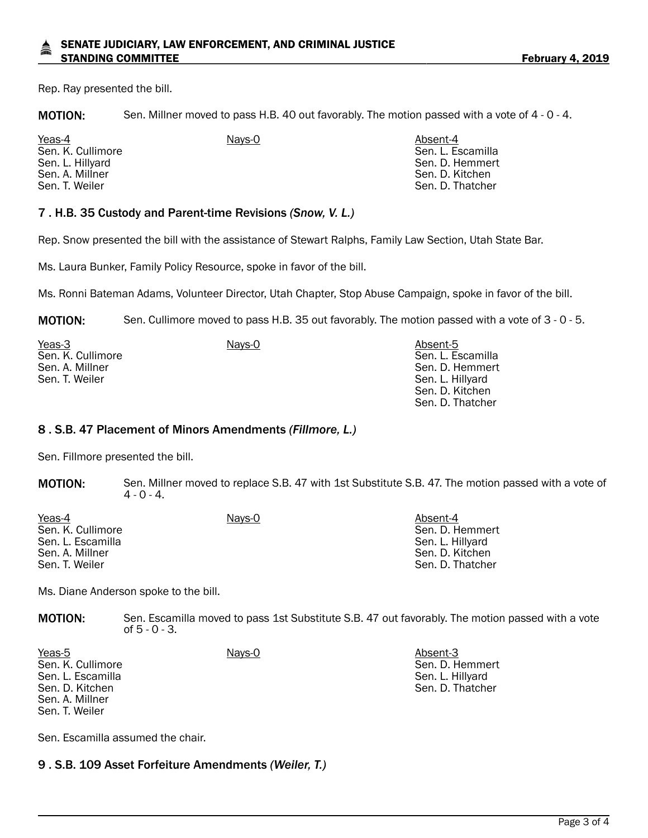Rep. Ray presented the bill.

MOTION: Sen. Millner moved to pass H.B. 40 out favorably. The motion passed with a vote of 4 - 0 - 4.

Yeas-4 Nays-0 Absent-4 Sen. K. Cullimore Sen. L. Hillyard Sen. A. Millner Sen. T. Weiler

Sen. L. Escamilla Sen. D. Hemmert Sen. D. Kitchen Sen. D. Thatcher

## 7 . H.B. 35 Custody and Parent-time Revisions *(Snow, V. L.)*

Rep. Snow presented the bill with the assistance of Stewart Ralphs, Family Law Section, Utah State Bar.

Ms. Laura Bunker, Family Policy Resource, spoke in favor of the bill.

Ms. Ronni Bateman Adams, Volunteer Director, Utah Chapter, Stop Abuse Campaign, spoke in favor of the bill.

MOTION: Sen. Cullimore moved to pass H.B. 35 out favorably. The motion passed with a vote of 3 - 0 - 5.

| Yeas-3            | Nays-0 | Absent-5          |
|-------------------|--------|-------------------|
| Sen. K. Cullimore |        | Sen. L. Escamilla |
| Sen. A. Millner   |        | Sen. D. Hemmert   |
| Sen. T. Weiler    |        | Sen. L. Hillyard  |
|                   |        | Sen. D. Kitchen   |
|                   |        | Sen. D. Thatcher  |

### 8 . S.B. 47 Placement of Minors Amendments *(Fillmore, L.)*

Sen. Fillmore presented the bill.

MOTION: Sen. Millner moved to replace S.B. 47 with 1st Substitute S.B. 47. The motion passed with a vote of  $4 - 0 - 4$ .

| Yeas-4<br>Sen. K. Cullimore<br>Sen. L. Escamilla<br>Sen. A. Millner | Nays-0 | Absent-4<br>Sen. D. Hemmert<br>Sen. L. Hillyard<br>Sen. D. Kitchen |
|---------------------------------------------------------------------|--------|--------------------------------------------------------------------|
| Sen. T. Weiler                                                      |        | Sen. D. Thatcher                                                   |

Ms. Diane Anderson spoke to the bill.

MOTION: Sen. Escamilla moved to pass 1st Substitute S.B. 47 out favorably. The motion passed with a vote of 5 - 0 - 3.

Yeas-5 Nays-0 Nays-0 Nays-0 Absent-3 Sen. K. Cullimore Sen. L. Escamilla Sen. D. Kitchen Sen. A. Millner Sen. T. Weiler Sen. D. Hemmert Sen. L. Hillyard Sen. D. Thatcher

Sen. Escamilla assumed the chair.

9 . S.B. 109 Asset Forfeiture Amendments *(Weiler, T.)*